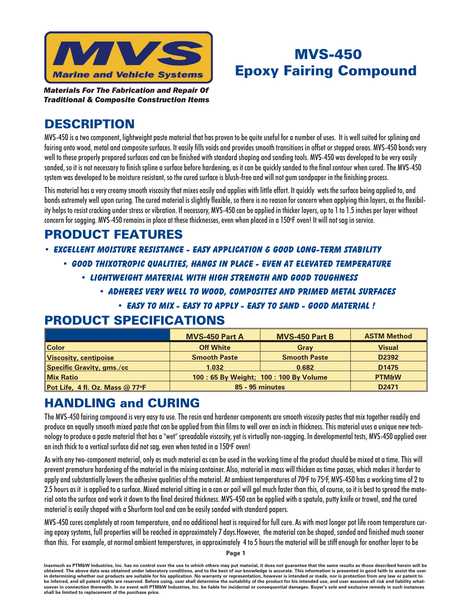

# MVS-450 **Epoxy Fairing Compound**

*Ma te ri als For The Fab ri ca tion and Re pair Of Traditional & Composite Construction Items* 

## **DESCRIPTION**

MVS-450 is a two component, lightweight paste material that has proven to be quite useful for a number of uses. It is well suited for splining and fairing onto wood, metal and composite surfaces. It easily fills voids and provides smooth transitions in offset or stepped areas. MVS-450 bonds very well to these properly prepared surfaces and can be finished with standard shaping and sanding tools. MVS-450 was developed to be very easily sanded, so it is not necessary to finish spline a surface before hardening, as it can be quickly sanded to the final contour when cured. The MVS-450 system was developed to be moisture resistant, so the cured surface is blush-free and will not gum sandpaper in the finishing process.

This material has a very creamy smooth viscosity that mixes easily and applies with little effort. It quickly wets the surface being applied to, and bonds extremely well upon curing. The cured material is slightly flexible, so there is no reason for concern when applying thin layers, as the flexibility helps to resist cracking under stress or vibration. If necessary, MVS-450 can be applied in thicker layers, up to 1 to 1.5 inches per layer without concern for sagging. MVS-450 remains in place at these thicknesses, even when placed in a 150°F oven! It will not sag in service.

## **PRODUCT FEATURES**

#### *• EX CEL LENT mOIS TURE RE SIS TANCE - EASY AP PLI CA TION & GOOD LONG-TERM STA BIL ITY*

- *• good thixotropic qual i ties, hangs in place even at el e vated temperature*
	- *• light weight ma te rial with high strength and good tough ness*
		- *• ad heres very well to wood, com pos ites and primed metal surfaces*
			- **EASY TO MIX EASY TO APPLY EASY TO SAND GOOD MATERIAL !**

#### **PRODUCT SPECIFICATIONS**

|                                   | <b>MVS-450 Part A</b>                 | <b>MVS-450 Part B</b> | <b>ASTM Method</b> |
|-----------------------------------|---------------------------------------|-----------------------|--------------------|
| <b>Color</b>                      | <b>Off White</b>                      | Grav                  | <b>Visual</b>      |
| <b>Viscosity, centipoise</b>      | <b>Smooth Paste</b>                   | <b>Smooth Paste</b>   | D <sub>2392</sub>  |
| <b>Specific Gravity, gms./cc</b>  | 1.032                                 | 0.682                 | D <sub>1475</sub>  |
| <b>Mix Ratio</b>                  | 100: 65 By Weight; 100: 100 By Volume |                       | <b>PTM&amp;W</b>   |
| Pot Life, 4 fl. Oz. Mass $@$ 77°F | 85 - 95 minutes                       |                       | D <sub>2471</sub>  |

### **HANDLING and CURING**

The MVS-450 fairing compound is very easy to use. The resin and hardener components are smooth viscosity pastes that mix together readily and produce an equally smooth mixed paste that can be applied from thin films to well over an inch in thickness. This material uses a unique new technology to produce a paste material that has a "wet" spreadable viscosity, yet is virtually non-sagging. In developmental tests, MVS-450 applied over an inch thick to a vertical surface did not sag, even when tested in a 150°F oven!

As with any two-component material, only as much material as can be used in the working time of the product should be mixed at a time. This will prevent premature hardening of the material in the mixing container. Also, material in mass will thicken as time passes, which makes it harder to apply and substantially lowers the adhesive qualities of the material. At ambient temperatures of 70°F to 75°F, MVS-450 has a working time of 2 to 2.5 hours as it is applied to a surface. Mixed material sitting in a can or pail will gel much faster than this, of course, so it is best to spread the material onto the surface and work it down to the final desired thickness. MVS-450 can be applied with a spatula, putty knife or trowel, and the cured material is easily shaped with a Shurform tool and can be easily sanded with standard papers.

MVS-450 cures completely at room temperature, and no additional heat is required for full cure. As with most longer pot life room temperature curing epoxy systems, full properties will be reached in approximately 7 days.However, the material can be shaped, sanded and finished much sooner than this. For example, at normal ambient temperatures, in approximately 4 to 5 hours the material will be stiff enough for another layer to be

**Page 1**

Inasmuch as PTM&W Industries, Inc. has no control over the use to which others may put material, it does not guarantee that the same results as those described herein will be obtained. The above data was obtained under laboratory conditions, and to the best of our knowledge is accurate. This information is presented in good faith to assist the user in determining whether our products are suitable for his application. No warranty or representation, however is intended or made, nor is protection from any law or patent to be inferred, and all patent rights are reserved. Before using, user shall determine the suitability of the product for his intended use, and user assumes all risk and liability what**so ever in con nec tion there with. In no event will PTM&W In dus tries, Inc. be li a ble for in ci den tal or con se quen tial dam ages. Buyer's sole and ex clu sive rem edy in such in stances** shall be limited to replacement of the purchase price.